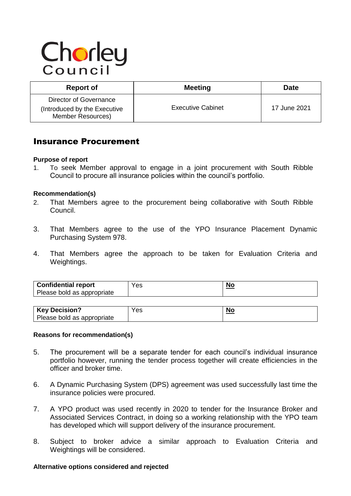# Chorley

| <b>Report of</b>                                                                   | <b>Meeting</b>           | Date         |
|------------------------------------------------------------------------------------|--------------------------|--------------|
| Director of Governance<br>(Introduced by the Executive<br><b>Member Resources)</b> | <b>Executive Cabinet</b> | 17 June 2021 |

# Insurance Procurement

#### **Purpose of report**

1. To seek Member approval to engage in a joint procurement with South Ribble Council to procure all insurance policies within the council's portfolio.

# **Recommendation(s)**

- 2. That Members agree to the procurement being collaborative with South Ribble Council.
- 3. That Members agree to the use of the YPO Insurance Placement Dynamic Purchasing System 978.
- 4. That Members agree the approach to be taken for Evaluation Criteria and Weightings.

| <b>Confidential report</b><br>Please bold as appropriate | Yes | NС |
|----------------------------------------------------------|-----|----|
|----------------------------------------------------------|-----|----|

| <b>Key Decision?</b>       | es' | No |
|----------------------------|-----|----|
| Please bold as appropriate |     |    |

#### **Reasons for recommendation(s)**

- 5. The procurement will be a separate tender for each council's individual insurance portfolio however, running the tender process together will create efficiencies in the officer and broker time.
- 6. A Dynamic Purchasing System (DPS) agreement was used successfully last time the insurance policies were procured.
- 7. A YPO product was used recently in 2020 to tender for the Insurance Broker and Associated Services Contract, in doing so a working relationship with the YPO team has developed which will support delivery of the insurance procurement.
- 8. Subject to broker advice a similar approach to Evaluation Criteria and Weightings will be considered.

#### **Alternative options considered and rejected**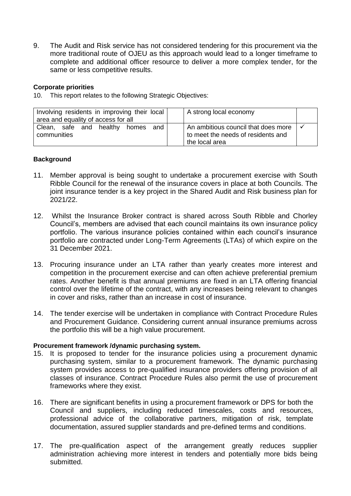9. The Audit and Risk service has not considered tendering for this procurement via the more traditional route of OJEU as this approach would lead to a longer timeframe to complete and additional officer resource to deliver a more complex tender, for the same or less competitive results.

# **Corporate priorities**

10. This report relates to the following Strategic Objectives:

| Involving residents in improving their local<br>area and equality of access for all | A strong local economy                                                                      |  |
|-------------------------------------------------------------------------------------|---------------------------------------------------------------------------------------------|--|
| Clean, safe and healthy<br>and<br>homes<br>communities                              | An ambitious council that does more<br>to meet the needs of residents and<br>the local area |  |

# **Background**

- 11. Member approval is being sought to undertake a procurement exercise with South Ribble Council for the renewal of the insurance covers in place at both Councils. The joint insurance tender is a key project in the Shared Audit and Risk business plan for 2021/22.
- 12. Whilst the Insurance Broker contract is shared across South Ribble and Chorley Council's, members are advised that each council maintains its own insurance policy portfolio. The various insurance policies contained within each council's insurance portfolio are contracted under Long-Term Agreements (LTAs) of which expire on the 31 December 2021.
- 13. Procuring insurance under an LTA rather than yearly creates more interest and competition in the procurement exercise and can often achieve preferential premium rates. Another benefit is that annual premiums are fixed in an LTA offering financial control over the lifetime of the contract, with any increases being relevant to changes in cover and risks, rather than an increase in cost of insurance.
- 14. The tender exercise will be undertaken in compliance with Contract Procedure Rules and Procurement Guidance. Considering current annual insurance premiums across the portfolio this will be a high value procurement.

### **Procurement framework /dynamic purchasing system.**

- 15. It is proposed to tender for the insurance policies using a procurement dynamic purchasing system, similar to a procurement framework. The dynamic purchasing system provides access to pre-qualified insurance providers offering provision of all classes of insurance. Contract Procedure Rules also permit the use of procurement frameworks where they exist.
- 16. There are significant benefits in using a procurement framework or DPS for both the Council and suppliers, including reduced timescales, costs and resources, professional advice of the collaborative partners, mitigation of risk, template documentation, assured supplier standards and pre-defined terms and conditions.
- 17. The pre-qualification aspect of the arrangement greatly reduces supplier administration achieving more interest in tenders and potentially more bids being submitted.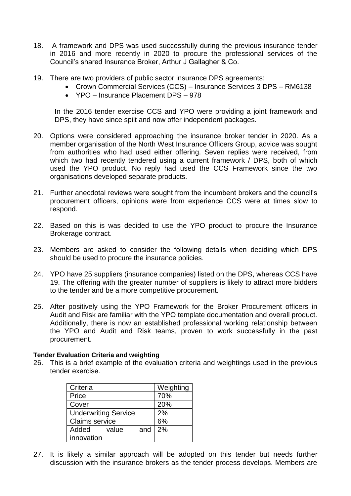- 18. A framework and DPS was used successfully during the previous insurance tender in 2016 and more recently in 2020 to procure the professional services of the Council's shared Insurance Broker, Arthur J Gallagher & Co.
- 19. There are two providers of public sector insurance DPS agreements:
	- Crown Commercial Services (CCS) Insurance Services 3 DPS RM6138
	- YPO Insurance Placement DPS 978

In the 2016 tender exercise CCS and YPO were providing a joint framework and DPS, they have since spilt and now offer independent packages.

- 20. Options were considered approaching the insurance broker tender in 2020. As a member organisation of the North West Insurance Officers Group, advice was sought from authorities who had used either offering. Seven replies were received, from which two had recently tendered using a current framework / DPS, both of which used the YPO product. No reply had used the CCS Framework since the two organisations developed separate products.
- 21. Further anecdotal reviews were sought from the incumbent brokers and the council's procurement officers, opinions were from experience CCS were at times slow to respond.
- 22. Based on this is was decided to use the YPO product to procure the Insurance Brokerage contract.
- 23. Members are asked to consider the following details when deciding which DPS should be used to procure the insurance policies.
- 24. YPO have 25 suppliers (insurance companies) listed on the DPS, whereas CCS have 19. The offering with the greater number of suppliers is likely to attract more bidders to the tender and be a more competitive procurement.
- 25. After positively using the YPO Framework for the Broker Procurement officers in Audit and Risk are familiar with the YPO template documentation and overall product. Additionally, there is now an established professional working relationship between the YPO and Audit and Risk teams, proven to work successfully in the past procurement.

#### **Tender Evaluation Criteria and weighting**

26. This is a brief example of the evaluation criteria and weightings used in the previous tender exercise.

| Criteria                    |       |     | Weighting |
|-----------------------------|-------|-----|-----------|
| Price                       |       | 70% |           |
| Cover                       |       | 20% |           |
| <b>Underwriting Service</b> |       | 2%  |           |
| <b>Claims service</b>       |       |     | 6%        |
| Added                       | value | and | 2%        |
| innovation                  |       |     |           |

27. It is likely a similar approach will be adopted on this tender but needs further discussion with the insurance brokers as the tender process develops. Members are